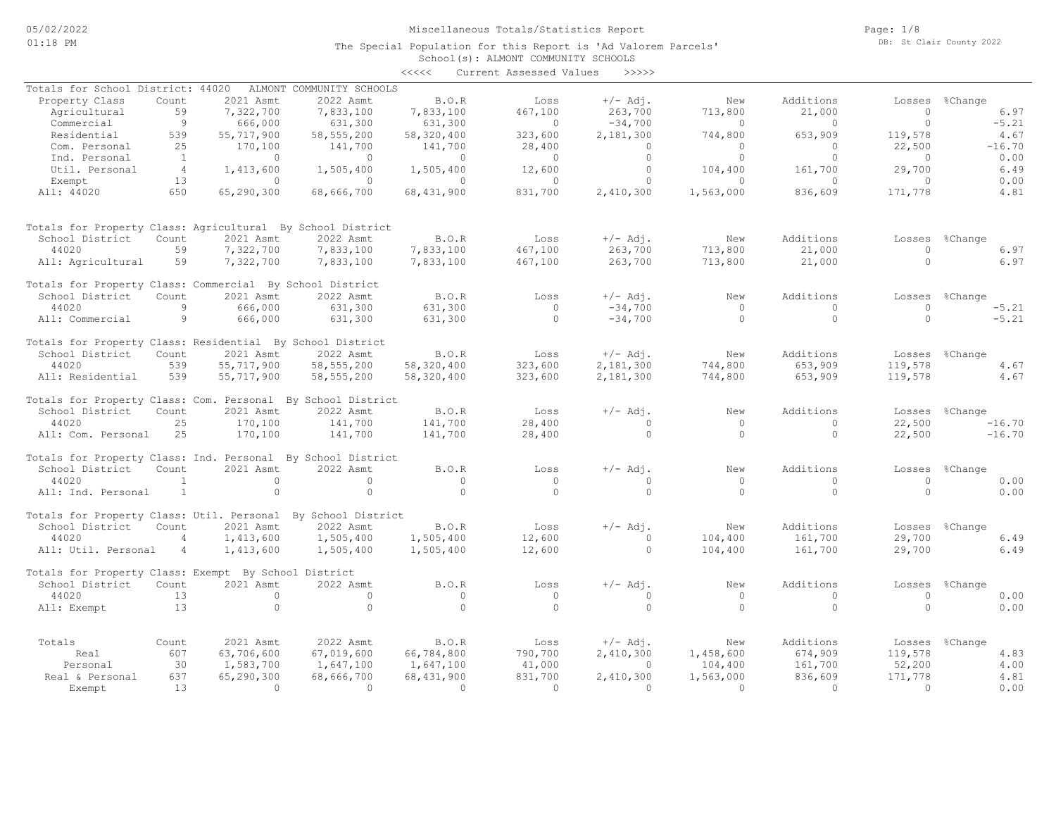### Miscellaneous Totals/Statistics Report

School(s): ALMONT COMMUNITY SCHOOLS The Special Population for this Report is 'Ad Valorem Parcels'

| ALMONT COMMUNITY SCHOOLS<br>Totals for School District: 44020<br>Additions<br>2021 Asmt<br>2022 Asmt<br>$+/-$ Adj.<br>Property Class<br>Count<br>B.O.R<br>Loss<br>New<br>Losses<br>%Change<br>Agricultural<br>59<br>7,322,700<br>7,833,100<br>7,833,100<br>467,100<br>263,700<br>713,800<br>21,000<br>$\circ$<br>6.97<br>$\overline{9}$<br>$-34,700$<br>$\Omega$<br>$\Omega$<br>Commercial<br>666,000<br>631,300<br>631,300<br>$\Omega$<br>$\Omega$<br>$-5.21$<br>539<br>55,717,900<br>2,181,300<br>744,800<br>653,909<br>4.67<br>Residential<br>58, 555, 200<br>58,320,400<br>323,600<br>119,578<br>25<br>$\circ$<br>$\circ$<br>22,500<br>$-16.70$<br>Com. Personal<br>170,100<br>141,700<br>141,700<br>28,400<br>$\circ$<br>$\circ$<br>$\circ$<br>Ind. Personal<br><sup>1</sup><br>$\overline{0}$<br>$\circ$<br>$\overline{0}$<br>$\circ$<br>$\circ$<br>$\overline{0}$<br>0.00<br>1,413,600<br>1,505,400<br>$\circ$<br>161,700<br>29,700<br>Util. Personal<br>$\overline{4}$<br>1,505,400<br>12,600<br>104,400<br>6.49<br>$\Omega$<br>13<br>$\Omega$<br>$\Omega$<br>$\Omega$<br>$\Omega$<br>$\Omega$<br>$\Omega$<br>$\Omega$<br>0.00<br>Exempt<br>650<br>65,290,300<br>68,431,900<br>831,700<br>2,410,300<br>1,563,000<br>836,609<br>171,778<br>4.81<br>All: 44020<br>68,666,700<br>Totals for Property Class: Agricultural By School District<br>B.0. R<br>$+/-$ Adj.<br>Additions<br>School District<br>Count<br>2021 Asmt<br>2022 Asmt<br>Loss<br>New<br>%Change<br>Losses<br>59<br>467,100<br>263,700<br>713,800<br>21,000<br>44020<br>7,322,700<br>7,833,100<br>7,833,100<br>$\Omega$<br>6.97<br>59<br>7,322,700<br>7,833,100<br>7,833,100<br>467,100<br>263,700<br>713,800<br>21,000<br>$\Omega$<br>6.97<br>All: Agricultural<br>Totals for Property Class: Commercial By School District<br>$+/-$ Adi.<br>School District<br>Count<br>2021 Asmt<br>2022 Asmt<br>B.O.R<br>Additions<br>Loss<br>New<br>Losses<br>%Change<br>44020<br>9<br>666,000<br>631,300<br>631,300<br>$\circ$<br>$-34,700$<br>$\circ$<br>$\Omega$<br>$\Omega$<br>$-5.21$<br>$\circ$<br>$\circ$<br>$\circ$<br>$\Omega$<br>$-5.21$<br>9<br>666,000<br>631,300<br>631,300<br>$-34,700$<br>All: Commercial<br>Totals for Property Class: Residential By School District<br>Additions<br>School District<br>Count<br>2021 Asmt<br>2022 Asmt<br>B.O.R<br>Loss<br>$+/-$ Adj.<br>New<br>Losses %Change<br>44020<br>539<br>55,717,900<br>58, 555, 200<br>58,320,400<br>323,600<br>2,181,300<br>744,800<br>653,909<br>119,578<br>4.67<br>539<br>58, 555, 200<br>323,600<br>2,181,300<br>744,800<br>653,909<br>119,578<br>4.67<br>All: Residential<br>55,717,900<br>58,320,400<br>Totals for Property Class: Com. Personal By School District<br>Additions<br>School District<br>Count<br>2021 Asmt<br>2022 Asmt<br>B.O.R<br>Loss<br>$+/-$ Adj.<br>New<br>%Change<br>Losses<br>44020<br>25<br>141,700<br>28,400<br>$\Omega$<br>$\Omega$<br>22,500<br>$-16.70$<br>170,100<br>141,700<br>$\Omega$<br>$\circ$<br>$\circ$<br>25<br>141,700<br>141,700<br>28,400<br>$\circ$<br>22,500<br>$-16.70$<br>All: Com. Personal<br>170,100<br>Totals for Property Class: Ind. Personal By School District<br>$+/-$ Adj.<br>Additions<br>School District<br>Count<br>2021 Asmt<br>2022 Asmt<br>B.O.R<br>Loss<br>New<br>Losses<br>%Change<br>$\Omega$<br>44020<br>$\overline{1}$<br>$\Omega$<br>$\Omega$<br>$\Omega$<br>$\Omega$<br>$\Omega$<br>0.00<br>$\Omega$<br>$\cap$<br>$\circ$<br>$\Omega$<br>$\circ$<br>$\circ$<br>$\mathbf{1}$<br>$\circ$<br>$\circ$<br>$\circ$<br>$\Omega$<br>0.00<br>All: Ind. Personal<br>Totals for Property Class: Util. Personal By School District<br>Additions<br>School District<br>Count<br>2021 Asmt<br>2022 Asmt<br>B.O.R<br>Loss<br>$+/-$ Adj.<br>New<br>Losses<br>%Change<br>44020<br>$\overline{4}$<br>1,505,400<br>1,505,400<br>12,600<br>104,400<br>161,700<br>29,700<br>6.49<br>1,413,600<br>$\Omega$<br>12,600<br>$\circ$<br>104,400<br>29,700<br>6.49<br>All: Util. Personal<br>$\overline{4}$<br>1,413,600<br>1,505,400<br>1,505,400<br>161,700<br>Totals for Property Class: Exempt By School District<br>School District<br>Count<br>2021 Asmt<br>2022 Asmt<br>B.O.R<br>$+/-$ Adj.<br>Additions<br>Loss<br>New<br>Losses<br>%Change<br>13<br>$\Omega$<br>$\Omega$<br>$\Omega$<br>$\Omega$<br>$\Omega$<br>$\Omega$<br>44020<br>$\circ$<br>$\Omega$<br>0.00<br>$\circ$<br>$\Omega$<br>$\circ$<br>$\circ$<br>13<br>$\Omega$<br>$\Omega$<br>$\Omega$<br>$\Omega$<br>0.00<br>All: Exempt<br>2021 Asmt<br>2022 Asmt<br>Additions<br>B.O.R<br>$+/-$ Adj.<br>Totals<br>Count<br>Loss<br>New<br>Losses<br>%Change<br>607<br>63,706,600<br>67,019,600<br>66,784,800<br>790,700<br>2,410,300<br>119,578<br>1,458,600<br>674,909<br>4.83<br>Real<br>30<br>1,583,700<br>1,647,100<br>1,647,100<br>41,000<br>$\circ$<br>104,400<br>161,700<br>52,200<br>4.00<br>Personal<br>4.81<br>Real & Personal<br>637<br>65,290,300<br>68,666,700<br>68, 431, 900<br>831,700<br>2,410,300<br>1,563,000<br>836,609<br>171,778 |        |    |          |          | <<<<    | Current Assessed Values | >>>>>    |          |          |          |      |
|-------------------------------------------------------------------------------------------------------------------------------------------------------------------------------------------------------------------------------------------------------------------------------------------------------------------------------------------------------------------------------------------------------------------------------------------------------------------------------------------------------------------------------------------------------------------------------------------------------------------------------------------------------------------------------------------------------------------------------------------------------------------------------------------------------------------------------------------------------------------------------------------------------------------------------------------------------------------------------------------------------------------------------------------------------------------------------------------------------------------------------------------------------------------------------------------------------------------------------------------------------------------------------------------------------------------------------------------------------------------------------------------------------------------------------------------------------------------------------------------------------------------------------------------------------------------------------------------------------------------------------------------------------------------------------------------------------------------------------------------------------------------------------------------------------------------------------------------------------------------------------------------------------------------------------------------------------------------------------------------------------------------------------------------------------------------------------------------------------------------------------------------------------------------------------------------------------------------------------------------------------------------------------------------------------------------------------------------------------------------------------------------------------------------------------------------------------------------------------------------------------------------------------------------------------------------------------------------------------------------------------------------------------------------------------------------------------------------------------------------------------------------------------------------------------------------------------------------------------------------------------------------------------------------------------------------------------------------------------------------------------------------------------------------------------------------------------------------------------------------------------------------------------------------------------------------------------------------------------------------------------------------------------------------------------------------------------------------------------------------------------------------------------------------------------------------------------------------------------------------------------------------------------------------------------------------------------------------------------------------------------------------------------------------------------------------------------------------------------------------------------------------------------------------------------------------------------------------------------------------------------------------------------------------------------------------------------------------------------------------------------------------------------------------------------------------------------------------------------------------------------------------------------------------------------------------------------------------------------------------------------------------------------------------------------------------------------------------------------------------------------------------------------------------------------------------------------------------------------------------------------------------------------------------------------------------------------------------------------------------------------------------------------------------------------------------------------------------------------------------------------------------------------------------------------------------------------------------------------------------------------------------------------------------------------------------------------------------------------------------------------|--------|----|----------|----------|---------|-------------------------|----------|----------|----------|----------|------|
|                                                                                                                                                                                                                                                                                                                                                                                                                                                                                                                                                                                                                                                                                                                                                                                                                                                                                                                                                                                                                                                                                                                                                                                                                                                                                                                                                                                                                                                                                                                                                                                                                                                                                                                                                                                                                                                                                                                                                                                                                                                                                                                                                                                                                                                                                                                                                                                                                                                                                                                                                                                                                                                                                                                                                                                                                                                                                                                                                                                                                                                                                                                                                                                                                                                                                                                                                                                                                                                                                                                                                                                                                                                                                                                                                                                                                                                                                                                                                                                                                                                                                                                                                                                                                                                                                                                                                                                                                                                                                                                                                                                                                                                                                                                                                                                                                                                                                                                                                                                                       |        |    |          |          |         |                         |          |          |          |          |      |
|                                                                                                                                                                                                                                                                                                                                                                                                                                                                                                                                                                                                                                                                                                                                                                                                                                                                                                                                                                                                                                                                                                                                                                                                                                                                                                                                                                                                                                                                                                                                                                                                                                                                                                                                                                                                                                                                                                                                                                                                                                                                                                                                                                                                                                                                                                                                                                                                                                                                                                                                                                                                                                                                                                                                                                                                                                                                                                                                                                                                                                                                                                                                                                                                                                                                                                                                                                                                                                                                                                                                                                                                                                                                                                                                                                                                                                                                                                                                                                                                                                                                                                                                                                                                                                                                                                                                                                                                                                                                                                                                                                                                                                                                                                                                                                                                                                                                                                                                                                                                       |        |    |          |          |         |                         |          |          |          |          |      |
|                                                                                                                                                                                                                                                                                                                                                                                                                                                                                                                                                                                                                                                                                                                                                                                                                                                                                                                                                                                                                                                                                                                                                                                                                                                                                                                                                                                                                                                                                                                                                                                                                                                                                                                                                                                                                                                                                                                                                                                                                                                                                                                                                                                                                                                                                                                                                                                                                                                                                                                                                                                                                                                                                                                                                                                                                                                                                                                                                                                                                                                                                                                                                                                                                                                                                                                                                                                                                                                                                                                                                                                                                                                                                                                                                                                                                                                                                                                                                                                                                                                                                                                                                                                                                                                                                                                                                                                                                                                                                                                                                                                                                                                                                                                                                                                                                                                                                                                                                                                                       |        |    |          |          |         |                         |          |          |          |          |      |
|                                                                                                                                                                                                                                                                                                                                                                                                                                                                                                                                                                                                                                                                                                                                                                                                                                                                                                                                                                                                                                                                                                                                                                                                                                                                                                                                                                                                                                                                                                                                                                                                                                                                                                                                                                                                                                                                                                                                                                                                                                                                                                                                                                                                                                                                                                                                                                                                                                                                                                                                                                                                                                                                                                                                                                                                                                                                                                                                                                                                                                                                                                                                                                                                                                                                                                                                                                                                                                                                                                                                                                                                                                                                                                                                                                                                                                                                                                                                                                                                                                                                                                                                                                                                                                                                                                                                                                                                                                                                                                                                                                                                                                                                                                                                                                                                                                                                                                                                                                                                       |        |    |          |          |         |                         |          |          |          |          |      |
|                                                                                                                                                                                                                                                                                                                                                                                                                                                                                                                                                                                                                                                                                                                                                                                                                                                                                                                                                                                                                                                                                                                                                                                                                                                                                                                                                                                                                                                                                                                                                                                                                                                                                                                                                                                                                                                                                                                                                                                                                                                                                                                                                                                                                                                                                                                                                                                                                                                                                                                                                                                                                                                                                                                                                                                                                                                                                                                                                                                                                                                                                                                                                                                                                                                                                                                                                                                                                                                                                                                                                                                                                                                                                                                                                                                                                                                                                                                                                                                                                                                                                                                                                                                                                                                                                                                                                                                                                                                                                                                                                                                                                                                                                                                                                                                                                                                                                                                                                                                                       |        |    |          |          |         |                         |          |          |          |          |      |
|                                                                                                                                                                                                                                                                                                                                                                                                                                                                                                                                                                                                                                                                                                                                                                                                                                                                                                                                                                                                                                                                                                                                                                                                                                                                                                                                                                                                                                                                                                                                                                                                                                                                                                                                                                                                                                                                                                                                                                                                                                                                                                                                                                                                                                                                                                                                                                                                                                                                                                                                                                                                                                                                                                                                                                                                                                                                                                                                                                                                                                                                                                                                                                                                                                                                                                                                                                                                                                                                                                                                                                                                                                                                                                                                                                                                                                                                                                                                                                                                                                                                                                                                                                                                                                                                                                                                                                                                                                                                                                                                                                                                                                                                                                                                                                                                                                                                                                                                                                                                       |        |    |          |          |         |                         |          |          |          |          |      |
|                                                                                                                                                                                                                                                                                                                                                                                                                                                                                                                                                                                                                                                                                                                                                                                                                                                                                                                                                                                                                                                                                                                                                                                                                                                                                                                                                                                                                                                                                                                                                                                                                                                                                                                                                                                                                                                                                                                                                                                                                                                                                                                                                                                                                                                                                                                                                                                                                                                                                                                                                                                                                                                                                                                                                                                                                                                                                                                                                                                                                                                                                                                                                                                                                                                                                                                                                                                                                                                                                                                                                                                                                                                                                                                                                                                                                                                                                                                                                                                                                                                                                                                                                                                                                                                                                                                                                                                                                                                                                                                                                                                                                                                                                                                                                                                                                                                                                                                                                                                                       |        |    |          |          |         |                         |          |          |          |          |      |
|                                                                                                                                                                                                                                                                                                                                                                                                                                                                                                                                                                                                                                                                                                                                                                                                                                                                                                                                                                                                                                                                                                                                                                                                                                                                                                                                                                                                                                                                                                                                                                                                                                                                                                                                                                                                                                                                                                                                                                                                                                                                                                                                                                                                                                                                                                                                                                                                                                                                                                                                                                                                                                                                                                                                                                                                                                                                                                                                                                                                                                                                                                                                                                                                                                                                                                                                                                                                                                                                                                                                                                                                                                                                                                                                                                                                                                                                                                                                                                                                                                                                                                                                                                                                                                                                                                                                                                                                                                                                                                                                                                                                                                                                                                                                                                                                                                                                                                                                                                                                       |        |    |          |          |         |                         |          |          |          |          |      |
|                                                                                                                                                                                                                                                                                                                                                                                                                                                                                                                                                                                                                                                                                                                                                                                                                                                                                                                                                                                                                                                                                                                                                                                                                                                                                                                                                                                                                                                                                                                                                                                                                                                                                                                                                                                                                                                                                                                                                                                                                                                                                                                                                                                                                                                                                                                                                                                                                                                                                                                                                                                                                                                                                                                                                                                                                                                                                                                                                                                                                                                                                                                                                                                                                                                                                                                                                                                                                                                                                                                                                                                                                                                                                                                                                                                                                                                                                                                                                                                                                                                                                                                                                                                                                                                                                                                                                                                                                                                                                                                                                                                                                                                                                                                                                                                                                                                                                                                                                                                                       |        |    |          |          |         |                         |          |          |          |          |      |
|                                                                                                                                                                                                                                                                                                                                                                                                                                                                                                                                                                                                                                                                                                                                                                                                                                                                                                                                                                                                                                                                                                                                                                                                                                                                                                                                                                                                                                                                                                                                                                                                                                                                                                                                                                                                                                                                                                                                                                                                                                                                                                                                                                                                                                                                                                                                                                                                                                                                                                                                                                                                                                                                                                                                                                                                                                                                                                                                                                                                                                                                                                                                                                                                                                                                                                                                                                                                                                                                                                                                                                                                                                                                                                                                                                                                                                                                                                                                                                                                                                                                                                                                                                                                                                                                                                                                                                                                                                                                                                                                                                                                                                                                                                                                                                                                                                                                                                                                                                                                       |        |    |          |          |         |                         |          |          |          |          |      |
|                                                                                                                                                                                                                                                                                                                                                                                                                                                                                                                                                                                                                                                                                                                                                                                                                                                                                                                                                                                                                                                                                                                                                                                                                                                                                                                                                                                                                                                                                                                                                                                                                                                                                                                                                                                                                                                                                                                                                                                                                                                                                                                                                                                                                                                                                                                                                                                                                                                                                                                                                                                                                                                                                                                                                                                                                                                                                                                                                                                                                                                                                                                                                                                                                                                                                                                                                                                                                                                                                                                                                                                                                                                                                                                                                                                                                                                                                                                                                                                                                                                                                                                                                                                                                                                                                                                                                                                                                                                                                                                                                                                                                                                                                                                                                                                                                                                                                                                                                                                                       |        |    |          |          |         |                         |          |          |          |          |      |
|                                                                                                                                                                                                                                                                                                                                                                                                                                                                                                                                                                                                                                                                                                                                                                                                                                                                                                                                                                                                                                                                                                                                                                                                                                                                                                                                                                                                                                                                                                                                                                                                                                                                                                                                                                                                                                                                                                                                                                                                                                                                                                                                                                                                                                                                                                                                                                                                                                                                                                                                                                                                                                                                                                                                                                                                                                                                                                                                                                                                                                                                                                                                                                                                                                                                                                                                                                                                                                                                                                                                                                                                                                                                                                                                                                                                                                                                                                                                                                                                                                                                                                                                                                                                                                                                                                                                                                                                                                                                                                                                                                                                                                                                                                                                                                                                                                                                                                                                                                                                       |        |    |          |          |         |                         |          |          |          |          |      |
|                                                                                                                                                                                                                                                                                                                                                                                                                                                                                                                                                                                                                                                                                                                                                                                                                                                                                                                                                                                                                                                                                                                                                                                                                                                                                                                                                                                                                                                                                                                                                                                                                                                                                                                                                                                                                                                                                                                                                                                                                                                                                                                                                                                                                                                                                                                                                                                                                                                                                                                                                                                                                                                                                                                                                                                                                                                                                                                                                                                                                                                                                                                                                                                                                                                                                                                                                                                                                                                                                                                                                                                                                                                                                                                                                                                                                                                                                                                                                                                                                                                                                                                                                                                                                                                                                                                                                                                                                                                                                                                                                                                                                                                                                                                                                                                                                                                                                                                                                                                                       |        |    |          |          |         |                         |          |          |          |          |      |
|                                                                                                                                                                                                                                                                                                                                                                                                                                                                                                                                                                                                                                                                                                                                                                                                                                                                                                                                                                                                                                                                                                                                                                                                                                                                                                                                                                                                                                                                                                                                                                                                                                                                                                                                                                                                                                                                                                                                                                                                                                                                                                                                                                                                                                                                                                                                                                                                                                                                                                                                                                                                                                                                                                                                                                                                                                                                                                                                                                                                                                                                                                                                                                                                                                                                                                                                                                                                                                                                                                                                                                                                                                                                                                                                                                                                                                                                                                                                                                                                                                                                                                                                                                                                                                                                                                                                                                                                                                                                                                                                                                                                                                                                                                                                                                                                                                                                                                                                                                                                       |        |    |          |          |         |                         |          |          |          |          |      |
|                                                                                                                                                                                                                                                                                                                                                                                                                                                                                                                                                                                                                                                                                                                                                                                                                                                                                                                                                                                                                                                                                                                                                                                                                                                                                                                                                                                                                                                                                                                                                                                                                                                                                                                                                                                                                                                                                                                                                                                                                                                                                                                                                                                                                                                                                                                                                                                                                                                                                                                                                                                                                                                                                                                                                                                                                                                                                                                                                                                                                                                                                                                                                                                                                                                                                                                                                                                                                                                                                                                                                                                                                                                                                                                                                                                                                                                                                                                                                                                                                                                                                                                                                                                                                                                                                                                                                                                                                                                                                                                                                                                                                                                                                                                                                                                                                                                                                                                                                                                                       |        |    |          |          |         |                         |          |          |          |          |      |
|                                                                                                                                                                                                                                                                                                                                                                                                                                                                                                                                                                                                                                                                                                                                                                                                                                                                                                                                                                                                                                                                                                                                                                                                                                                                                                                                                                                                                                                                                                                                                                                                                                                                                                                                                                                                                                                                                                                                                                                                                                                                                                                                                                                                                                                                                                                                                                                                                                                                                                                                                                                                                                                                                                                                                                                                                                                                                                                                                                                                                                                                                                                                                                                                                                                                                                                                                                                                                                                                                                                                                                                                                                                                                                                                                                                                                                                                                                                                                                                                                                                                                                                                                                                                                                                                                                                                                                                                                                                                                                                                                                                                                                                                                                                                                                                                                                                                                                                                                                                                       |        |    |          |          |         |                         |          |          |          |          |      |
|                                                                                                                                                                                                                                                                                                                                                                                                                                                                                                                                                                                                                                                                                                                                                                                                                                                                                                                                                                                                                                                                                                                                                                                                                                                                                                                                                                                                                                                                                                                                                                                                                                                                                                                                                                                                                                                                                                                                                                                                                                                                                                                                                                                                                                                                                                                                                                                                                                                                                                                                                                                                                                                                                                                                                                                                                                                                                                                                                                                                                                                                                                                                                                                                                                                                                                                                                                                                                                                                                                                                                                                                                                                                                                                                                                                                                                                                                                                                                                                                                                                                                                                                                                                                                                                                                                                                                                                                                                                                                                                                                                                                                                                                                                                                                                                                                                                                                                                                                                                                       |        |    |          |          |         |                         |          |          |          |          |      |
|                                                                                                                                                                                                                                                                                                                                                                                                                                                                                                                                                                                                                                                                                                                                                                                                                                                                                                                                                                                                                                                                                                                                                                                                                                                                                                                                                                                                                                                                                                                                                                                                                                                                                                                                                                                                                                                                                                                                                                                                                                                                                                                                                                                                                                                                                                                                                                                                                                                                                                                                                                                                                                                                                                                                                                                                                                                                                                                                                                                                                                                                                                                                                                                                                                                                                                                                                                                                                                                                                                                                                                                                                                                                                                                                                                                                                                                                                                                                                                                                                                                                                                                                                                                                                                                                                                                                                                                                                                                                                                                                                                                                                                                                                                                                                                                                                                                                                                                                                                                                       |        |    |          |          |         |                         |          |          |          |          |      |
|                                                                                                                                                                                                                                                                                                                                                                                                                                                                                                                                                                                                                                                                                                                                                                                                                                                                                                                                                                                                                                                                                                                                                                                                                                                                                                                                                                                                                                                                                                                                                                                                                                                                                                                                                                                                                                                                                                                                                                                                                                                                                                                                                                                                                                                                                                                                                                                                                                                                                                                                                                                                                                                                                                                                                                                                                                                                                                                                                                                                                                                                                                                                                                                                                                                                                                                                                                                                                                                                                                                                                                                                                                                                                                                                                                                                                                                                                                                                                                                                                                                                                                                                                                                                                                                                                                                                                                                                                                                                                                                                                                                                                                                                                                                                                                                                                                                                                                                                                                                                       |        |    |          |          |         |                         |          |          |          |          |      |
|                                                                                                                                                                                                                                                                                                                                                                                                                                                                                                                                                                                                                                                                                                                                                                                                                                                                                                                                                                                                                                                                                                                                                                                                                                                                                                                                                                                                                                                                                                                                                                                                                                                                                                                                                                                                                                                                                                                                                                                                                                                                                                                                                                                                                                                                                                                                                                                                                                                                                                                                                                                                                                                                                                                                                                                                                                                                                                                                                                                                                                                                                                                                                                                                                                                                                                                                                                                                                                                                                                                                                                                                                                                                                                                                                                                                                                                                                                                                                                                                                                                                                                                                                                                                                                                                                                                                                                                                                                                                                                                                                                                                                                                                                                                                                                                                                                                                                                                                                                                                       |        |    |          |          |         |                         |          |          |          |          |      |
|                                                                                                                                                                                                                                                                                                                                                                                                                                                                                                                                                                                                                                                                                                                                                                                                                                                                                                                                                                                                                                                                                                                                                                                                                                                                                                                                                                                                                                                                                                                                                                                                                                                                                                                                                                                                                                                                                                                                                                                                                                                                                                                                                                                                                                                                                                                                                                                                                                                                                                                                                                                                                                                                                                                                                                                                                                                                                                                                                                                                                                                                                                                                                                                                                                                                                                                                                                                                                                                                                                                                                                                                                                                                                                                                                                                                                                                                                                                                                                                                                                                                                                                                                                                                                                                                                                                                                                                                                                                                                                                                                                                                                                                                                                                                                                                                                                                                                                                                                                                                       |        |    |          |          |         |                         |          |          |          |          |      |
|                                                                                                                                                                                                                                                                                                                                                                                                                                                                                                                                                                                                                                                                                                                                                                                                                                                                                                                                                                                                                                                                                                                                                                                                                                                                                                                                                                                                                                                                                                                                                                                                                                                                                                                                                                                                                                                                                                                                                                                                                                                                                                                                                                                                                                                                                                                                                                                                                                                                                                                                                                                                                                                                                                                                                                                                                                                                                                                                                                                                                                                                                                                                                                                                                                                                                                                                                                                                                                                                                                                                                                                                                                                                                                                                                                                                                                                                                                                                                                                                                                                                                                                                                                                                                                                                                                                                                                                                                                                                                                                                                                                                                                                                                                                                                                                                                                                                                                                                                                                                       |        |    |          |          |         |                         |          |          |          |          |      |
|                                                                                                                                                                                                                                                                                                                                                                                                                                                                                                                                                                                                                                                                                                                                                                                                                                                                                                                                                                                                                                                                                                                                                                                                                                                                                                                                                                                                                                                                                                                                                                                                                                                                                                                                                                                                                                                                                                                                                                                                                                                                                                                                                                                                                                                                                                                                                                                                                                                                                                                                                                                                                                                                                                                                                                                                                                                                                                                                                                                                                                                                                                                                                                                                                                                                                                                                                                                                                                                                                                                                                                                                                                                                                                                                                                                                                                                                                                                                                                                                                                                                                                                                                                                                                                                                                                                                                                                                                                                                                                                                                                                                                                                                                                                                                                                                                                                                                                                                                                                                       |        |    |          |          |         |                         |          |          |          |          |      |
|                                                                                                                                                                                                                                                                                                                                                                                                                                                                                                                                                                                                                                                                                                                                                                                                                                                                                                                                                                                                                                                                                                                                                                                                                                                                                                                                                                                                                                                                                                                                                                                                                                                                                                                                                                                                                                                                                                                                                                                                                                                                                                                                                                                                                                                                                                                                                                                                                                                                                                                                                                                                                                                                                                                                                                                                                                                                                                                                                                                                                                                                                                                                                                                                                                                                                                                                                                                                                                                                                                                                                                                                                                                                                                                                                                                                                                                                                                                                                                                                                                                                                                                                                                                                                                                                                                                                                                                                                                                                                                                                                                                                                                                                                                                                                                                                                                                                                                                                                                                                       |        |    |          |          |         |                         |          |          |          |          |      |
|                                                                                                                                                                                                                                                                                                                                                                                                                                                                                                                                                                                                                                                                                                                                                                                                                                                                                                                                                                                                                                                                                                                                                                                                                                                                                                                                                                                                                                                                                                                                                                                                                                                                                                                                                                                                                                                                                                                                                                                                                                                                                                                                                                                                                                                                                                                                                                                                                                                                                                                                                                                                                                                                                                                                                                                                                                                                                                                                                                                                                                                                                                                                                                                                                                                                                                                                                                                                                                                                                                                                                                                                                                                                                                                                                                                                                                                                                                                                                                                                                                                                                                                                                                                                                                                                                                                                                                                                                                                                                                                                                                                                                                                                                                                                                                                                                                                                                                                                                                                                       |        |    |          |          |         |                         |          |          |          |          |      |
|                                                                                                                                                                                                                                                                                                                                                                                                                                                                                                                                                                                                                                                                                                                                                                                                                                                                                                                                                                                                                                                                                                                                                                                                                                                                                                                                                                                                                                                                                                                                                                                                                                                                                                                                                                                                                                                                                                                                                                                                                                                                                                                                                                                                                                                                                                                                                                                                                                                                                                                                                                                                                                                                                                                                                                                                                                                                                                                                                                                                                                                                                                                                                                                                                                                                                                                                                                                                                                                                                                                                                                                                                                                                                                                                                                                                                                                                                                                                                                                                                                                                                                                                                                                                                                                                                                                                                                                                                                                                                                                                                                                                                                                                                                                                                                                                                                                                                                                                                                                                       |        |    |          |          |         |                         |          |          |          |          |      |
|                                                                                                                                                                                                                                                                                                                                                                                                                                                                                                                                                                                                                                                                                                                                                                                                                                                                                                                                                                                                                                                                                                                                                                                                                                                                                                                                                                                                                                                                                                                                                                                                                                                                                                                                                                                                                                                                                                                                                                                                                                                                                                                                                                                                                                                                                                                                                                                                                                                                                                                                                                                                                                                                                                                                                                                                                                                                                                                                                                                                                                                                                                                                                                                                                                                                                                                                                                                                                                                                                                                                                                                                                                                                                                                                                                                                                                                                                                                                                                                                                                                                                                                                                                                                                                                                                                                                                                                                                                                                                                                                                                                                                                                                                                                                                                                                                                                                                                                                                                                                       |        |    |          |          |         |                         |          |          |          |          |      |
|                                                                                                                                                                                                                                                                                                                                                                                                                                                                                                                                                                                                                                                                                                                                                                                                                                                                                                                                                                                                                                                                                                                                                                                                                                                                                                                                                                                                                                                                                                                                                                                                                                                                                                                                                                                                                                                                                                                                                                                                                                                                                                                                                                                                                                                                                                                                                                                                                                                                                                                                                                                                                                                                                                                                                                                                                                                                                                                                                                                                                                                                                                                                                                                                                                                                                                                                                                                                                                                                                                                                                                                                                                                                                                                                                                                                                                                                                                                                                                                                                                                                                                                                                                                                                                                                                                                                                                                                                                                                                                                                                                                                                                                                                                                                                                                                                                                                                                                                                                                                       |        |    |          |          |         |                         |          |          |          |          |      |
|                                                                                                                                                                                                                                                                                                                                                                                                                                                                                                                                                                                                                                                                                                                                                                                                                                                                                                                                                                                                                                                                                                                                                                                                                                                                                                                                                                                                                                                                                                                                                                                                                                                                                                                                                                                                                                                                                                                                                                                                                                                                                                                                                                                                                                                                                                                                                                                                                                                                                                                                                                                                                                                                                                                                                                                                                                                                                                                                                                                                                                                                                                                                                                                                                                                                                                                                                                                                                                                                                                                                                                                                                                                                                                                                                                                                                                                                                                                                                                                                                                                                                                                                                                                                                                                                                                                                                                                                                                                                                                                                                                                                                                                                                                                                                                                                                                                                                                                                                                                                       |        |    |          |          |         |                         |          |          |          |          |      |
|                                                                                                                                                                                                                                                                                                                                                                                                                                                                                                                                                                                                                                                                                                                                                                                                                                                                                                                                                                                                                                                                                                                                                                                                                                                                                                                                                                                                                                                                                                                                                                                                                                                                                                                                                                                                                                                                                                                                                                                                                                                                                                                                                                                                                                                                                                                                                                                                                                                                                                                                                                                                                                                                                                                                                                                                                                                                                                                                                                                                                                                                                                                                                                                                                                                                                                                                                                                                                                                                                                                                                                                                                                                                                                                                                                                                                                                                                                                                                                                                                                                                                                                                                                                                                                                                                                                                                                                                                                                                                                                                                                                                                                                                                                                                                                                                                                                                                                                                                                                                       |        |    |          |          |         |                         |          |          |          |          |      |
|                                                                                                                                                                                                                                                                                                                                                                                                                                                                                                                                                                                                                                                                                                                                                                                                                                                                                                                                                                                                                                                                                                                                                                                                                                                                                                                                                                                                                                                                                                                                                                                                                                                                                                                                                                                                                                                                                                                                                                                                                                                                                                                                                                                                                                                                                                                                                                                                                                                                                                                                                                                                                                                                                                                                                                                                                                                                                                                                                                                                                                                                                                                                                                                                                                                                                                                                                                                                                                                                                                                                                                                                                                                                                                                                                                                                                                                                                                                                                                                                                                                                                                                                                                                                                                                                                                                                                                                                                                                                                                                                                                                                                                                                                                                                                                                                                                                                                                                                                                                                       |        |    |          |          |         |                         |          |          |          |          |      |
|                                                                                                                                                                                                                                                                                                                                                                                                                                                                                                                                                                                                                                                                                                                                                                                                                                                                                                                                                                                                                                                                                                                                                                                                                                                                                                                                                                                                                                                                                                                                                                                                                                                                                                                                                                                                                                                                                                                                                                                                                                                                                                                                                                                                                                                                                                                                                                                                                                                                                                                                                                                                                                                                                                                                                                                                                                                                                                                                                                                                                                                                                                                                                                                                                                                                                                                                                                                                                                                                                                                                                                                                                                                                                                                                                                                                                                                                                                                                                                                                                                                                                                                                                                                                                                                                                                                                                                                                                                                                                                                                                                                                                                                                                                                                                                                                                                                                                                                                                                                                       |        |    |          |          |         |                         |          |          |          |          |      |
|                                                                                                                                                                                                                                                                                                                                                                                                                                                                                                                                                                                                                                                                                                                                                                                                                                                                                                                                                                                                                                                                                                                                                                                                                                                                                                                                                                                                                                                                                                                                                                                                                                                                                                                                                                                                                                                                                                                                                                                                                                                                                                                                                                                                                                                                                                                                                                                                                                                                                                                                                                                                                                                                                                                                                                                                                                                                                                                                                                                                                                                                                                                                                                                                                                                                                                                                                                                                                                                                                                                                                                                                                                                                                                                                                                                                                                                                                                                                                                                                                                                                                                                                                                                                                                                                                                                                                                                                                                                                                                                                                                                                                                                                                                                                                                                                                                                                                                                                                                                                       |        |    |          |          |         |                         |          |          |          |          |      |
|                                                                                                                                                                                                                                                                                                                                                                                                                                                                                                                                                                                                                                                                                                                                                                                                                                                                                                                                                                                                                                                                                                                                                                                                                                                                                                                                                                                                                                                                                                                                                                                                                                                                                                                                                                                                                                                                                                                                                                                                                                                                                                                                                                                                                                                                                                                                                                                                                                                                                                                                                                                                                                                                                                                                                                                                                                                                                                                                                                                                                                                                                                                                                                                                                                                                                                                                                                                                                                                                                                                                                                                                                                                                                                                                                                                                                                                                                                                                                                                                                                                                                                                                                                                                                                                                                                                                                                                                                                                                                                                                                                                                                                                                                                                                                                                                                                                                                                                                                                                                       |        |    |          |          |         |                         |          |          |          |          |      |
|                                                                                                                                                                                                                                                                                                                                                                                                                                                                                                                                                                                                                                                                                                                                                                                                                                                                                                                                                                                                                                                                                                                                                                                                                                                                                                                                                                                                                                                                                                                                                                                                                                                                                                                                                                                                                                                                                                                                                                                                                                                                                                                                                                                                                                                                                                                                                                                                                                                                                                                                                                                                                                                                                                                                                                                                                                                                                                                                                                                                                                                                                                                                                                                                                                                                                                                                                                                                                                                                                                                                                                                                                                                                                                                                                                                                                                                                                                                                                                                                                                                                                                                                                                                                                                                                                                                                                                                                                                                                                                                                                                                                                                                                                                                                                                                                                                                                                                                                                                                                       |        |    |          |          |         |                         |          |          |          |          |      |
|                                                                                                                                                                                                                                                                                                                                                                                                                                                                                                                                                                                                                                                                                                                                                                                                                                                                                                                                                                                                                                                                                                                                                                                                                                                                                                                                                                                                                                                                                                                                                                                                                                                                                                                                                                                                                                                                                                                                                                                                                                                                                                                                                                                                                                                                                                                                                                                                                                                                                                                                                                                                                                                                                                                                                                                                                                                                                                                                                                                                                                                                                                                                                                                                                                                                                                                                                                                                                                                                                                                                                                                                                                                                                                                                                                                                                                                                                                                                                                                                                                                                                                                                                                                                                                                                                                                                                                                                                                                                                                                                                                                                                                                                                                                                                                                                                                                                                                                                                                                                       |        |    |          |          |         |                         |          |          |          |          |      |
|                                                                                                                                                                                                                                                                                                                                                                                                                                                                                                                                                                                                                                                                                                                                                                                                                                                                                                                                                                                                                                                                                                                                                                                                                                                                                                                                                                                                                                                                                                                                                                                                                                                                                                                                                                                                                                                                                                                                                                                                                                                                                                                                                                                                                                                                                                                                                                                                                                                                                                                                                                                                                                                                                                                                                                                                                                                                                                                                                                                                                                                                                                                                                                                                                                                                                                                                                                                                                                                                                                                                                                                                                                                                                                                                                                                                                                                                                                                                                                                                                                                                                                                                                                                                                                                                                                                                                                                                                                                                                                                                                                                                                                                                                                                                                                                                                                                                                                                                                                                                       |        |    |          |          |         |                         |          |          |          |          |      |
|                                                                                                                                                                                                                                                                                                                                                                                                                                                                                                                                                                                                                                                                                                                                                                                                                                                                                                                                                                                                                                                                                                                                                                                                                                                                                                                                                                                                                                                                                                                                                                                                                                                                                                                                                                                                                                                                                                                                                                                                                                                                                                                                                                                                                                                                                                                                                                                                                                                                                                                                                                                                                                                                                                                                                                                                                                                                                                                                                                                                                                                                                                                                                                                                                                                                                                                                                                                                                                                                                                                                                                                                                                                                                                                                                                                                                                                                                                                                                                                                                                                                                                                                                                                                                                                                                                                                                                                                                                                                                                                                                                                                                                                                                                                                                                                                                                                                                                                                                                                                       |        |    |          |          |         |                         |          |          |          |          |      |
|                                                                                                                                                                                                                                                                                                                                                                                                                                                                                                                                                                                                                                                                                                                                                                                                                                                                                                                                                                                                                                                                                                                                                                                                                                                                                                                                                                                                                                                                                                                                                                                                                                                                                                                                                                                                                                                                                                                                                                                                                                                                                                                                                                                                                                                                                                                                                                                                                                                                                                                                                                                                                                                                                                                                                                                                                                                                                                                                                                                                                                                                                                                                                                                                                                                                                                                                                                                                                                                                                                                                                                                                                                                                                                                                                                                                                                                                                                                                                                                                                                                                                                                                                                                                                                                                                                                                                                                                                                                                                                                                                                                                                                                                                                                                                                                                                                                                                                                                                                                                       |        |    |          |          |         |                         |          |          |          |          |      |
|                                                                                                                                                                                                                                                                                                                                                                                                                                                                                                                                                                                                                                                                                                                                                                                                                                                                                                                                                                                                                                                                                                                                                                                                                                                                                                                                                                                                                                                                                                                                                                                                                                                                                                                                                                                                                                                                                                                                                                                                                                                                                                                                                                                                                                                                                                                                                                                                                                                                                                                                                                                                                                                                                                                                                                                                                                                                                                                                                                                                                                                                                                                                                                                                                                                                                                                                                                                                                                                                                                                                                                                                                                                                                                                                                                                                                                                                                                                                                                                                                                                                                                                                                                                                                                                                                                                                                                                                                                                                                                                                                                                                                                                                                                                                                                                                                                                                                                                                                                                                       |        |    |          |          |         |                         |          |          |          |          |      |
|                                                                                                                                                                                                                                                                                                                                                                                                                                                                                                                                                                                                                                                                                                                                                                                                                                                                                                                                                                                                                                                                                                                                                                                                                                                                                                                                                                                                                                                                                                                                                                                                                                                                                                                                                                                                                                                                                                                                                                                                                                                                                                                                                                                                                                                                                                                                                                                                                                                                                                                                                                                                                                                                                                                                                                                                                                                                                                                                                                                                                                                                                                                                                                                                                                                                                                                                                                                                                                                                                                                                                                                                                                                                                                                                                                                                                                                                                                                                                                                                                                                                                                                                                                                                                                                                                                                                                                                                                                                                                                                                                                                                                                                                                                                                                                                                                                                                                                                                                                                                       |        |    |          |          |         |                         |          |          |          |          |      |
|                                                                                                                                                                                                                                                                                                                                                                                                                                                                                                                                                                                                                                                                                                                                                                                                                                                                                                                                                                                                                                                                                                                                                                                                                                                                                                                                                                                                                                                                                                                                                                                                                                                                                                                                                                                                                                                                                                                                                                                                                                                                                                                                                                                                                                                                                                                                                                                                                                                                                                                                                                                                                                                                                                                                                                                                                                                                                                                                                                                                                                                                                                                                                                                                                                                                                                                                                                                                                                                                                                                                                                                                                                                                                                                                                                                                                                                                                                                                                                                                                                                                                                                                                                                                                                                                                                                                                                                                                                                                                                                                                                                                                                                                                                                                                                                                                                                                                                                                                                                                       |        |    |          |          |         |                         |          |          |          |          |      |
|                                                                                                                                                                                                                                                                                                                                                                                                                                                                                                                                                                                                                                                                                                                                                                                                                                                                                                                                                                                                                                                                                                                                                                                                                                                                                                                                                                                                                                                                                                                                                                                                                                                                                                                                                                                                                                                                                                                                                                                                                                                                                                                                                                                                                                                                                                                                                                                                                                                                                                                                                                                                                                                                                                                                                                                                                                                                                                                                                                                                                                                                                                                                                                                                                                                                                                                                                                                                                                                                                                                                                                                                                                                                                                                                                                                                                                                                                                                                                                                                                                                                                                                                                                                                                                                                                                                                                                                                                                                                                                                                                                                                                                                                                                                                                                                                                                                                                                                                                                                                       |        |    |          |          |         |                         |          |          |          |          |      |
|                                                                                                                                                                                                                                                                                                                                                                                                                                                                                                                                                                                                                                                                                                                                                                                                                                                                                                                                                                                                                                                                                                                                                                                                                                                                                                                                                                                                                                                                                                                                                                                                                                                                                                                                                                                                                                                                                                                                                                                                                                                                                                                                                                                                                                                                                                                                                                                                                                                                                                                                                                                                                                                                                                                                                                                                                                                                                                                                                                                                                                                                                                                                                                                                                                                                                                                                                                                                                                                                                                                                                                                                                                                                                                                                                                                                                                                                                                                                                                                                                                                                                                                                                                                                                                                                                                                                                                                                                                                                                                                                                                                                                                                                                                                                                                                                                                                                                                                                                                                                       |        |    |          |          |         |                         |          |          |          |          |      |
|                                                                                                                                                                                                                                                                                                                                                                                                                                                                                                                                                                                                                                                                                                                                                                                                                                                                                                                                                                                                                                                                                                                                                                                                                                                                                                                                                                                                                                                                                                                                                                                                                                                                                                                                                                                                                                                                                                                                                                                                                                                                                                                                                                                                                                                                                                                                                                                                                                                                                                                                                                                                                                                                                                                                                                                                                                                                                                                                                                                                                                                                                                                                                                                                                                                                                                                                                                                                                                                                                                                                                                                                                                                                                                                                                                                                                                                                                                                                                                                                                                                                                                                                                                                                                                                                                                                                                                                                                                                                                                                                                                                                                                                                                                                                                                                                                                                                                                                                                                                                       |        |    |          |          |         |                         |          |          |          |          |      |
|                                                                                                                                                                                                                                                                                                                                                                                                                                                                                                                                                                                                                                                                                                                                                                                                                                                                                                                                                                                                                                                                                                                                                                                                                                                                                                                                                                                                                                                                                                                                                                                                                                                                                                                                                                                                                                                                                                                                                                                                                                                                                                                                                                                                                                                                                                                                                                                                                                                                                                                                                                                                                                                                                                                                                                                                                                                                                                                                                                                                                                                                                                                                                                                                                                                                                                                                                                                                                                                                                                                                                                                                                                                                                                                                                                                                                                                                                                                                                                                                                                                                                                                                                                                                                                                                                                                                                                                                                                                                                                                                                                                                                                                                                                                                                                                                                                                                                                                                                                                                       |        |    |          |          |         |                         |          |          |          |          |      |
|                                                                                                                                                                                                                                                                                                                                                                                                                                                                                                                                                                                                                                                                                                                                                                                                                                                                                                                                                                                                                                                                                                                                                                                                                                                                                                                                                                                                                                                                                                                                                                                                                                                                                                                                                                                                                                                                                                                                                                                                                                                                                                                                                                                                                                                                                                                                                                                                                                                                                                                                                                                                                                                                                                                                                                                                                                                                                                                                                                                                                                                                                                                                                                                                                                                                                                                                                                                                                                                                                                                                                                                                                                                                                                                                                                                                                                                                                                                                                                                                                                                                                                                                                                                                                                                                                                                                                                                                                                                                                                                                                                                                                                                                                                                                                                                                                                                                                                                                                                                                       | Exempt | 13 | $\Omega$ | $\Omega$ | $\circ$ | $\circ$                 | $\Omega$ | $\Omega$ | $\Omega$ | $\Omega$ | 0.00 |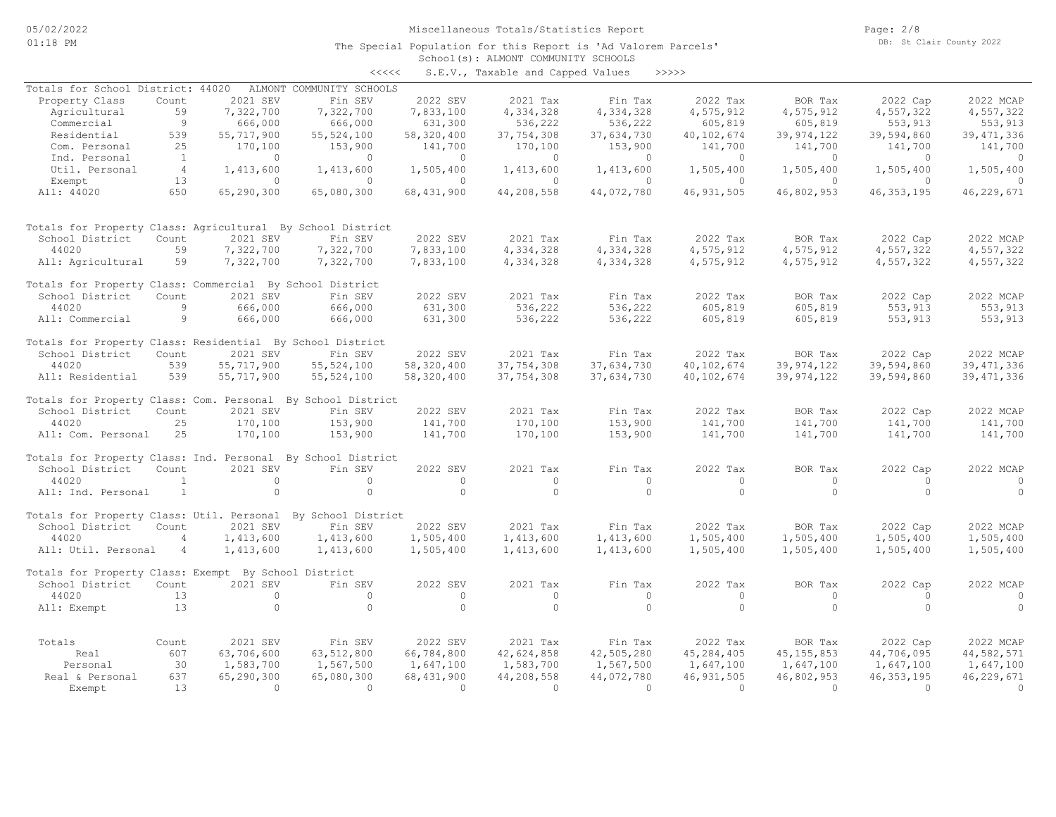Page: 2/8 DB: St Clair County 2022

#### School(s): ALMONT COMMUNITY SCHOOLS The Special Population for this Report is 'Ad Valorem Parcels'

| くくくくく | S.E.V., Taxable and Capped Values |  |  |  | >>>>> |
|-------|-----------------------------------|--|--|--|-------|
|-------|-----------------------------------|--|--|--|-------|

| Totals for School District: 44020                            |                |            | ALMONT COMMUNITY SCHOOLS |              |            |            |              |              |              |              |
|--------------------------------------------------------------|----------------|------------|--------------------------|--------------|------------|------------|--------------|--------------|--------------|--------------|
| Property Class                                               | Count          | 2021 SEV   | Fin SEV                  | 2022 SEV     | 2021 Tax   | Fin Tax    | 2022 Tax     | BOR Tax      | 2022 Cap     | 2022 MCAP    |
| Agricultural                                                 | 59             | 7,322,700  | 7,322,700                | 7,833,100    | 4,334,328  | 4,334,328  | 4,575,912    | 4,575,912    | 4,557,322    | 4,557,322    |
| Commercial                                                   | 9              | 666,000    | 666,000                  | 631,300      | 536,222    | 536,222    | 605,819      | 605,819      | 553,913      | 553,913      |
| Residential                                                  | 539            | 55,717,900 | 55, 524, 100             | 58,320,400   | 37,754,308 | 37,634,730 | 40,102,674   | 39, 974, 122 | 39,594,860   | 39, 471, 336 |
| Com. Personal                                                | 25             | 170,100    | 153,900                  | 141,700      | 170,100    | 153,900    | 141,700      | 141,700      | 141,700      | 141,700      |
| Ind. Personal                                                | <sup>1</sup>   | $\circ$    | $\Omega$                 | $\circ$      | $\Omega$   | $\circ$    | $\Omega$     | $\Omega$     | $\Omega$     | $\Omega$     |
| Util. Personal                                               | $\overline{4}$ | 1,413,600  | 1,413,600                | 1,505,400    | 1,413,600  | 1,413,600  | 1,505,400    | 1,505,400    | 1,505,400    | 1,505,400    |
| Exempt                                                       | 13             | $\circ$    | $\circ$                  | $\circ$      | $\Omega$   | $\circ$    | $\Omega$     | $\circ$      | $\Omega$     | $\Omega$     |
| All: 44020                                                   | 650            | 65,290,300 | 65,080,300               | 68, 431, 900 | 44,208,558 | 44,072,780 | 46, 931, 505 | 46,802,953   | 46, 353, 195 | 46,229,671   |
|                                                              |                |            |                          |              |            |            |              |              |              |              |
| Totals for Property Class: Agricultural By School District   |                |            |                          |              |            |            |              |              |              |              |
| School District                                              | Count          | 2021 SEV   | Fin SEV                  | 2022 SEV     | 2021 Tax   | Fin Tax    | 2022 Tax     | BOR Tax      | 2022 Cap     | 2022 MCAP    |
| 44020                                                        | 59             | 7,322,700  | 7,322,700                | 7,833,100    | 4,334,328  | 4,334,328  | 4,575,912    | 4,575,912    | 4,557,322    | 4,557,322    |
| All: Agricultural                                            | 59             | 7,322,700  | 7,322,700                | 7,833,100    | 4,334,328  | 4,334,328  | 4,575,912    | 4,575,912    | 4,557,322    | 4,557,322    |
| Totals for Property Class: Commercial By School District     |                |            |                          |              |            |            |              |              |              |              |
| School District                                              | Count          | 2021 SEV   | Fin SEV                  | 2022 SEV     | 2021 Tax   | Fin Tax    | 2022 Tax     | BOR Tax      | 2022 Cap     | 2022 MCAP    |
| 44020                                                        | 9              | 666,000    | 666,000                  | 631,300      | 536,222    | 536,222    | 605,819      | 605,819      | 553, 913     | 553,913      |
| All: Commercial                                              | 9              | 666,000    | 666,000                  | 631,300      | 536,222    | 536,222    | 605,819      | 605,819      | 553,913      | 553,913      |
| Totals for Property Class: Residential By School District    |                |            |                          |              |            |            |              |              |              |              |
| School District                                              | Count          | 2021 SEV   | Fin SEV                  | 2022 SEV     | 2021 Tax   | Fin Tax    | 2022 Tax     | BOR Tax      | 2022 Cap     | 2022 MCAP    |
| 44020                                                        | 539            | 55,717,900 | 55, 524, 100             | 58,320,400   | 37,754,308 | 37,634,730 | 40,102,674   | 39, 974, 122 | 39,594,860   | 39, 471, 336 |
| All: Residential                                             | 539            | 55,717,900 | 55, 524, 100             | 58,320,400   | 37,754,308 | 37,634,730 | 40,102,674   | 39, 974, 122 | 39,594,860   | 39, 471, 336 |
| Totals for Property Class: Com. Personal By School District  |                |            |                          |              |            |            |              |              |              |              |
| School District                                              | Count          | 2021 SEV   | Fin SEV                  | 2022 SEV     | 2021 Tax   | Fin Tax    | 2022 Tax     | BOR Tax      | 2022 Cap     | 2022 MCAP    |
| 44020                                                        | 25             | 170,100    | 153,900                  | 141,700      | 170,100    | 153,900    | 141,700      | 141,700      | 141,700      | 141,700      |
| All: Com. Personal                                           | 25             | 170,100    | 153,900                  | 141,700      | 170,100    | 153,900    | 141,700      | 141,700      | 141,700      | 141,700      |
|                                                              |                |            |                          |              |            |            |              |              |              |              |
| Totals for Property Class: Ind. Personal By School District  |                |            |                          |              |            |            |              |              |              |              |
| School District                                              | Count          | 2021 SEV   | Fin SEV                  | 2022 SEV     | 2021 Tax   | Fin Tax    | 2022 Tax     | BOR Tax      | 2022 Cap     | 2022 MCAP    |
| 44020                                                        | 1              | $\circ$    | $\circ$                  | $\circ$      | $\circ$    | $\circ$    | $\circ$      | $\Omega$     | $\Omega$     | $\circ$      |
| All: Ind. Personal                                           | $\mathbf{1}$   | $\circ$    | $\circ$                  | $\circ$      | $\circ$    | $\circ$    | $\circ$      | $\Omega$     | $\Omega$     | $\circ$      |
| Totals for Property Class: Util. Personal By School District |                |            |                          |              |            |            |              |              |              |              |
| School District                                              | Count          | 2021 SEV   | Fin SEV                  | 2022 SEV     | 2021 Tax   | Fin Tax    | 2022 Tax     | BOR Tax      | 2022 Cap     | 2022 MCAP    |
| 44020                                                        | $\overline{4}$ | 1,413,600  | 1,413,600                | 1,505,400    | 1,413,600  | 1,413,600  | 1,505,400    | 1,505,400    | 1,505,400    | 1,505,400    |
| All: Util. Personal                                          | $\overline{4}$ | 1,413,600  | 1,413,600                | 1,505,400    | 1,413,600  | 1,413,600  | 1,505,400    | 1,505,400    | 1,505,400    | 1,505,400    |
|                                                              |                |            |                          |              |            |            |              |              |              |              |
| Totals for Property Class: Exempt By School District         |                |            |                          |              |            |            |              |              |              |              |
| School District                                              | Count          | 2021 SEV   | Fin SEV                  | 2022 SEV     | 2021 Tax   | Fin Tax    | 2022 Tax     | BOR Tax      | 2022 Cap     | 2022 MCAP    |
| 44020                                                        | 13             | $\circ$    | 0                        | $\circ$      | $\circ$    | $\circ$    | $\circ$      | $\circ$      | $\circ$      | $\circ$      |
| All: Exempt                                                  | 13             | $\circ$    | $\circ$                  | $\circ$      | $\circ$    | $\circ$    | $\circ$      | $\Omega$     | $\Omega$     | $\circ$      |
|                                                              |                |            |                          |              |            |            |              |              |              |              |
| Totals                                                       | Count          | 2021 SEV   | Fin SEV                  | 2022 SEV     | 2021 Tax   | Fin Tax    | 2022 Tax     | BOR Tax      | 2022 Cap     | 2022 MCAP    |
| Real                                                         | 607            | 63,706,600 | 63,512,800               | 66,784,800   | 42,624,858 | 42,505,280 | 45,284,405   | 45, 155, 853 | 44,706,095   | 44,582,571   |
| Personal                                                     | 30             | 1,583,700  | 1,567,500                | 1,647,100    | 1,583,700  | 1,567,500  | 1,647,100    | 1,647,100    | 1,647,100    | 1,647,100    |
| Real & Personal                                              | 637            | 65,290,300 | 65,080,300               | 68, 431, 900 | 44,208,558 | 44,072,780 | 46, 931, 505 | 46,802,953   | 46, 353, 195 | 46, 229, 671 |
| Exempt                                                       | 1.3            | $\Omega$   | $\Omega$                 | $\Omega$     | $\cap$     | $\Omega$   | $\Omega$     | $\Omega$     | $\cap$       | $\Omega$     |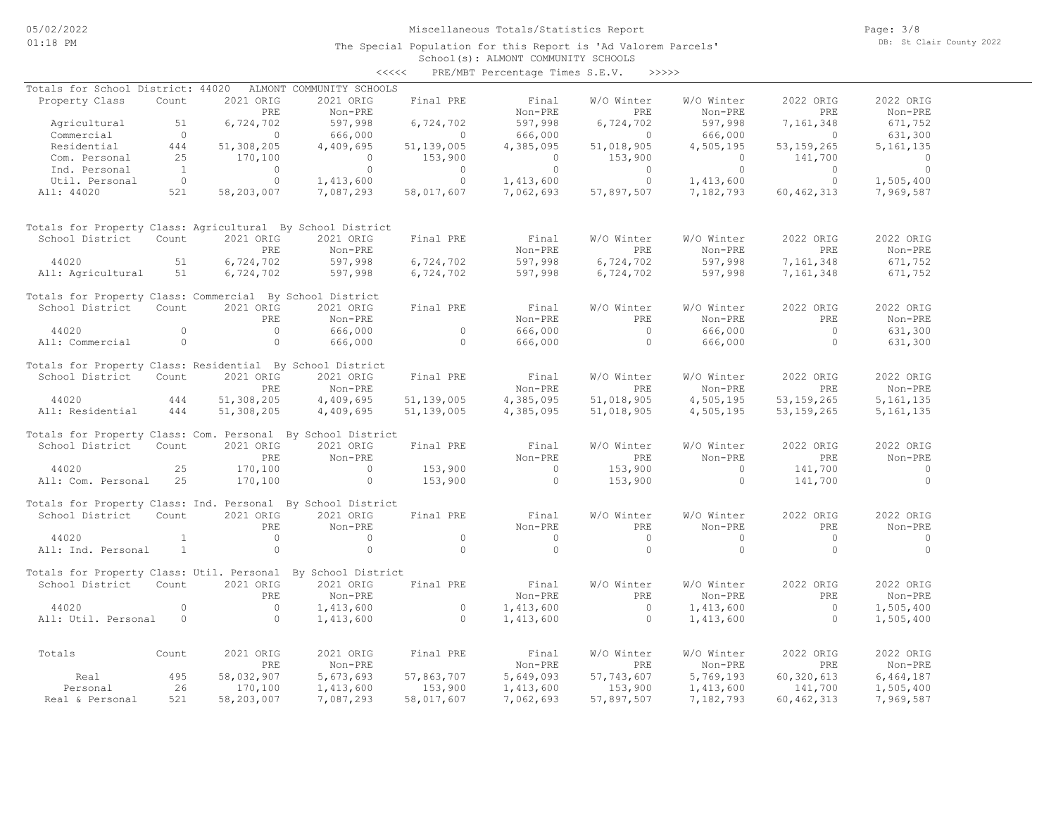# Miscellaneous Totals/Statistics Report

<<<<< PRE/MBT Percentage Times S.E.V. >>>>>

| Totals for School District: 44020                            |                |            | ALMONT COMMUNITY SCHOOLS |              |           |                |            |              |                |
|--------------------------------------------------------------|----------------|------------|--------------------------|--------------|-----------|----------------|------------|--------------|----------------|
|                                                              |                |            |                          |              |           |                |            |              |                |
| Property Class                                               | Count          | 2021 ORIG  | 2021 ORIG                | Final PRE    | Final     | W/O Winter     | W/O Winter | 2022 ORIG    | 2022 ORIG      |
|                                                              |                | PRE        | Non-PRE                  |              | Non-PRE   | PRE            | Non-PRE    | PRE          | Non-PRE        |
| Agricultural                                                 | 51             | 6,724,702  | 597,998                  | 6,724,702    | 597,998   | 6,724,702      | 597,998    | 7,161,348    | 671,752        |
| Commercial                                                   | $\bigcirc$     | $\Omega$   | 666,000                  | $\Omega$     | 666,000   | $\overline{0}$ | 666,000    | $\Omega$     | 631,300        |
| Residential                                                  | 444            | 51,308,205 | 4,409,695                | 51, 139, 005 | 4,385,095 | 51,018,905     | 4,505,195  | 53, 159, 265 | 5, 161, 135    |
| Com. Personal                                                | 25             | 170,100    | $\Omega$                 | 153,900      | $\Omega$  | 153,900        | $\Omega$   | 141,700      | $\Omega$       |
| Ind. Personal                                                | $\mathbf{1}$   | $\Omega$   | $\circ$                  | $\Omega$     | $\circ$   | $\Omega$       | $\Omega$   | $\Omega$     | $\Omega$       |
| Util. Personal                                               | $\overline{0}$ | $\circ$    | 1,413,600                | $\circ$      | 1,413,600 | $\circ$        | 1,413,600  | $\circ$      | 1,505,400      |
| All: 44020                                                   | 521            | 58,203,007 | 7,087,293                | 58,017,607   | 7,062,693 | 57,897,507     | 7,182,793  | 60, 462, 313 | 7,969,587      |
| Totals for Property Class: Agricultural By School District   |                |            |                          |              |           |                |            |              |                |
| School District                                              | Count          | 2021 ORIG  | 2021 ORIG                | Final PRE    | Final     | W/O Winter     | W/O Winter | 2022 ORIG    | 2022 ORIG      |
|                                                              |                | PRE        | Non-PRE                  |              | Non-PRE   | <b>PRE</b>     | Non-PRE    | PRE          | $Non-PRE$      |
| 44020                                                        | 51             | 6,724,702  | 597,998                  | 6,724,702    | 597,998   | 6,724,702      | 597,998    | 7,161,348    | 671,752        |
| All: Agricultural                                            | 51             | 6,724,702  | 597,998                  | 6,724,702    | 597,998   | 6,724,702      | 597,998    | 7,161,348    | 671,752        |
| Totals for Property Class: Commercial By School District     |                |            |                          |              |           |                |            |              |                |
| School District                                              | Count          | 2021 ORIG  | 2021 ORIG                | Final PRE    | Final     | W/O Winter     | W/O Winter | 2022 ORIG    | 2022 ORIG      |
|                                                              |                | PRE        | Non-PRE                  |              | Non-PRE   | <b>PRE</b>     | Non-PRE    | PRE          | Non-PRE        |
| 44020                                                        | $\Omega$       | $\circ$    | 666,000                  | $\circ$      | 666,000   | $\Omega$       | 666,000    | $\Omega$     | 631,300        |
| All: Commercial                                              | $\Omega$       | $\circ$    | 666,000                  | $\Omega$     | 666,000   | $\Omega$       | 666,000    | $\Omega$     | 631,300        |
| Totals for Property Class: Residential By School District    |                |            |                          |              |           |                |            |              |                |
| School District                                              | Count          | 2021 ORIG  | 2021 ORIG                | Final PRE    | Final     | W/O Winter     | W/O Winter | 2022 ORIG    | 2022 ORIG      |
|                                                              |                | PRE        | Non-PRE                  |              | Non-PRE   | PRE            | Non-PRE    | <b>PRE</b>   | Non-PRE        |
| 44020                                                        | 444            | 51,308,205 | 4,409,695                | 51,139,005   | 4,385,095 | 51,018,905     | 4,505,195  | 53, 159, 265 | 5, 161, 135    |
| All: Residential                                             | 444            | 51,308,205 | 4,409,695                | 51,139,005   | 4,385,095 | 51,018,905     | 4,505,195  | 53, 159, 265 | 5, 161, 135    |
| Totals for Property Class: Com. Personal By School District  |                |            |                          |              |           |                |            |              |                |
| School District                                              | Count          | 2021 ORIG  | 2021 ORIG                | Final PRE    | Final     | W/O Winter     | W/O Winter | 2022 ORIG    | 2022 ORIG      |
|                                                              |                | PRE        | Non-PRE                  |              | Non-PRE   | PRE            | Non-PRE    | PRE          | Non-PRE        |
| 44020                                                        | 25             | 170,100    | $\circ$                  | 153,900      | $\circ$   | 153,900        | $\circ$    | 141,700      | $\circ$        |
| All: Com. Personal                                           | 25             | 170,100    | $\circ$                  | 153,900      | $\circ$   | 153,900        | $\circ$    | 141,700      | $\overline{0}$ |
| Totals for Property Class: Ind. Personal By School District  |                |            |                          |              |           |                |            |              |                |
| School District                                              | Count          | 2021 ORIG  | 2021 ORIG                | Final PRE    | Final     | W/O Winter     | W/O Winter | 2022 ORIG    | 2022 ORIG      |
|                                                              |                | PRE        | Non-PRE                  |              | Non-PRE   | PRE            | Non-PRE    | PRE          | Non-PRE        |
| 44020                                                        | $\mathbf{1}$   | $\circ$    | $\circ$                  | $\circ$      | $\circ$   | $\circ$        | $\circ$    | $\circ$      | $\circ$        |
| All: Ind. Personal                                           | $\mathbf{1}$   | $\circ$    | $\circ$                  | $\Omega$     | $\circ$   | $\Omega$       | $\circ$    | $\circ$      | $\circ$        |
| Totals for Property Class: Util. Personal By School District |                |            |                          |              |           |                |            |              |                |
| School District                                              | Count          | 2021 ORIG  | 2021 ORIG                | Final PRE    | Final     | W/O Winter     | W/O Winter | 2022 ORIG    | 2022 ORIG      |
|                                                              |                | PRE        | Non-PRE                  |              | Non-PRE   | PRE            | Non-PRE    | PRE          | Non-PRE        |
| 44020                                                        | $\Omega$       | $\Omega$   | 1,413,600                | $\circ$      | 1,413,600 | $\bigcirc$     | 1,413,600  | $\bigcirc$   | 1,505,400      |
| All: Util. Personal                                          | $\Omega$       | $\Omega$   | 1,413,600                | $\Omega$     | 1,413,600 | $\Omega$       | 1,413,600  | $\cap$       | 1,505,400      |
|                                                              |                |            |                          |              |           |                |            |              |                |
| Totals                                                       | Count          | 2021 ORIG  | 2021 ORIG                | Final PRE    | Final     | W/O Winter     | W/O Winter | 2022 ORIG    | 2022 ORIG      |
|                                                              |                | PRE        | Non-PRE                  |              | Non-PRE   | PRE            | Non-PRE    | <b>PRE</b>   | Non-PRE        |
| Real                                                         | 495            | 58,032,907 | 5,673,693                | 57,863,707   | 5,649,093 | 57,743,607     | 5,769,193  | 60,320,613   | 6,464,187      |
| Personal                                                     | 26             | 170,100    | 1,413,600                | 153,900      | 1,413,600 | 153,900        | 1,413,600  | 141,700      | 1,505,400      |
| Real & Personal                                              | 521            | 58,203,007 | 7,087,293                | 58,017,607   | 7,062,693 | 57,897,507     | 7,182,793  | 60, 462, 313 | 7,969,587      |
|                                                              |                |            |                          |              |           |                |            |              |                |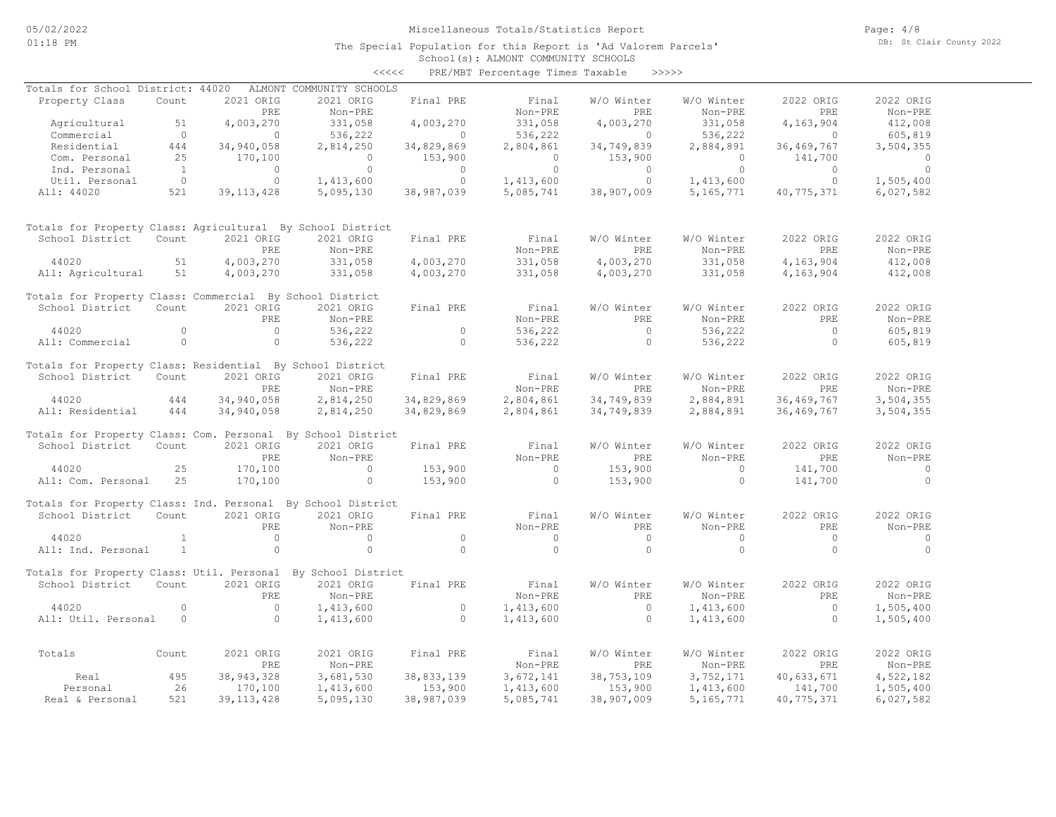# Miscellaneous Totals/Statistics Report

<<<<< PRE/MBT Percentage Times Taxable >>>>>

| Totals for School District: 44020                            |                |              | ALMONT COMMUNITY SCHOOLS |            |           |                |             |                |                |
|--------------------------------------------------------------|----------------|--------------|--------------------------|------------|-----------|----------------|-------------|----------------|----------------|
| Property Class                                               | Count          | 2021 ORIG    | 2021 ORIG                | Final PRE  | Final     | W/O Winter     | W/O Winter  | 2022 ORIG      | 2022 ORIG      |
|                                                              |                | PRE          | Non-PRE                  |            | Non-PRE   | PRE            | Non-PRE     | PRE            | Non-PRE        |
| Agricultural                                                 | 51             | 4,003,270    | 331,058                  | 4,003,270  | 331,058   | 4,003,270      | 331,058     | 4,163,904      | 412,008        |
| Commercial                                                   | $\bigcirc$     | $\Omega$     | 536,222                  | $\Omega$   | 536,222   | $\overline{0}$ | 536,222     | $\overline{0}$ | 605,819        |
| Residential                                                  | 444            | 34,940,058   | 2,814,250                | 34,829,869 | 2,804,861 | 34,749,839     | 2,884,891   | 36, 469, 767   | 3,504,355      |
| Com. Personal                                                | 25             | 170,100      | $\Omega$                 | 153,900    | $\Omega$  | 153,900        | $\Omega$    | 141,700        | $\overline{0}$ |
| Ind. Personal                                                | $\sim$ 1       | $\circ$      | $\circ$                  | $\bigcirc$ | $\Omega$  | $\bigcirc$     | $\bigcirc$  | $\overline{0}$ | $\overline{0}$ |
| Util. Personal                                               | $\overline{0}$ | $\circ$      | 1,413,600                | $\circ$    | 1,413,600 | $\circ$        | 1,413,600   | $\circ$        | 1,505,400      |
| All: 44020                                                   | 521            | 39, 113, 428 | 5,095,130                | 38,987,039 | 5,085,741 | 38,907,009     | 5, 165, 771 | 40,775,371     | 6,027,582      |
| Totals for Property Class: Agricultural By School District   |                |              |                          |            |           |                |             |                |                |
| School District                                              | Count          | 2021 ORIG    | 2021 ORIG                | Final PRE  | Final     | W/O Winter     | W/O Winter  | 2022 ORIG      | 2022 ORIG      |
|                                                              |                | PRE          | Non-PRE                  |            | Non-PRE   | PRE            | Non-PRE     | PRE            | Non-PRE        |
| 44020                                                        | 51             | 4,003,270    | 331,058                  | 4,003,270  | 331,058   | 4,003,270      | 331,058     | 4,163,904      | 412,008        |
| All: Agricultural                                            | 51             | 4,003,270    | 331,058                  | 4,003,270  | 331,058   | 4,003,270      | 331,058     | 4,163,904      | 412,008        |
| Totals for Property Class: Commercial By School District     |                |              |                          |            |           |                |             |                |                |
| School District                                              | Count          | 2021 ORIG    | 2021 ORIG                | Final PRE  | Final     | W/O Winter     | W/O Winter  | 2022 ORIG      | 2022 ORIG      |
|                                                              |                | PRE          | Non-PRE                  |            | Non-PRE   | <b>PRE</b>     | Non-PRE     | PRE            | Non-PRE        |
| 44020                                                        | $\Omega$       | $\Omega$     | 536,222                  | $\Omega$   | 536,222   | $\Omega$       | 536,222     | $\Omega$       | 605,819        |
| All: Commercial                                              | $\Omega$       | $\circ$      | 536,222                  | $\Omega$   | 536,222   | $\Omega$       | 536,222     | $\Omega$       | 605,819        |
| Totals for Property Class: Residential By School District    |                |              |                          |            |           |                |             |                |                |
| School District                                              | Count          | 2021 ORIG    | 2021 ORIG                | Final PRE  | Final     | W/O Winter     | W/O Winter  | 2022 ORIG      | 2022 ORIG      |
|                                                              |                | PRE          | Non-PRE                  |            | Non-PRE   | <b>PRE</b>     | Non-PRE     | PRE            | Non-PRE        |
| 44020                                                        | 444            | 34,940,058   | 2,814,250                | 34,829,869 | 2,804,861 | 34,749,839     | 2,884,891   | 36,469,767     | 3,504,355      |
| All: Residential                                             | 444            | 34,940,058   | 2,814,250                | 34,829,869 | 2,804,861 | 34,749,839     | 2,884,891   | 36, 469, 767   | 3,504,355      |
| Totals for Property Class: Com. Personal By School District  |                |              |                          |            |           |                |             |                |                |
| School District                                              | Count          | 2021 ORIG    | 2021 ORIG                | Final PRE  | Final     | W/O Winter     | W/O Winter  | 2022 ORIG      | 2022 ORIG      |
|                                                              |                | PRE          | Non-PRE                  |            | Non-PRE   | PRE            | Non-PRE     | PRE            | Non-PRE        |
| 44020                                                        | 25             | 170,100      | $\Omega$                 | 153,900    | $\sim$ 0  | 153,900        | $\Omega$    | 141,700        | $\overline{0}$ |
| All: Com. Personal                                           | 25             | 170,100      | $\circ$                  | 153,900    | $\circ$   | 153,900        | $\circ$     | 141,700        | $\Omega$       |
| Totals for Property Class: Ind. Personal By School District  |                |              |                          |            |           |                |             |                |                |
| School District                                              | Count          | 2021 ORIG    | 2021 ORIG                | Final PRE  | Final     | W/O Winter     | W/O Winter  | 2022 ORIG      | 2022 ORIG      |
|                                                              |                | PRE          | Non-PRE                  |            | Non-PRE   | PRE.           | Non-PRE     | <b>PRE</b>     | Non-PRE        |
| 44020                                                        | $\mathbf{1}$   | $\Omega$     | $\circ$                  | $\Omega$   | $\Omega$  | $\bigcirc$     | $\circ$     | $\bigcirc$     | $\circ$        |
| All: Ind. Personal                                           | $\mathbf{1}$   | $\circ$      | $\Omega$                 | $\Omega$   | $\Omega$  | $\Omega$       | $\Omega$    | $\Omega$       | $\Omega$       |
| Totals for Property Class: Util. Personal By School District |                |              |                          |            |           |                |             |                |                |
| School District                                              | Count          | 2021 ORIG    | 2021 ORIG                | Final PRE  | Final     | W/O Winter     | W/O Winter  | 2022 ORIG      | 2022 ORIG      |
|                                                              |                | PRE          | Non-PRE                  |            | Non-PRE   | PRE            | Non-PRE     | PRE            | Non-PRE        |
| 44020                                                        | $\circ$        | $\circ$      | 1,413,600                | $\circ$    | 1,413,600 | $\overline{0}$ | 1,413,600   | $\overline{0}$ | 1,505,400      |
| All: Util. Personal                                          | $\circ$        | $\circ$      | 1,413,600                | $\Omega$   | 1,413,600 | $\circ$        | 1,413,600   | $\Omega$       | 1,505,400      |
|                                                              |                |              |                          |            |           |                |             |                |                |
| Totals                                                       | Count          | 2021 ORIG    | 2021 ORIG                | Final PRE  | Final     | W/O Winter     | W/O Winter  | 2022 ORIG      | 2022 ORIG      |
|                                                              |                | PRE          | Non-PRE                  |            | Non-PRE   | <b>PRE</b>     | Non-PRE     | <b>PRE</b>     | Non-PRE        |
| Real                                                         | 495            | 38, 943, 328 | 3,681,530                | 38,833,139 | 3,672,141 | 38,753,109     | 3,752,171   | 40,633,671     | 4,522,182      |
| Personal                                                     | 26             | 170,100      | 1,413,600                | 153,900    | 1,413,600 | 153,900        | 1,413,600   | 141,700        | 1,505,400      |
| Real & Personal                                              | 521            | 39, 113, 428 | 5,095,130                | 38,987,039 | 5,085,741 | 38,907,009     | 5, 165, 771 | 40, 775, 371   | 6,027,582      |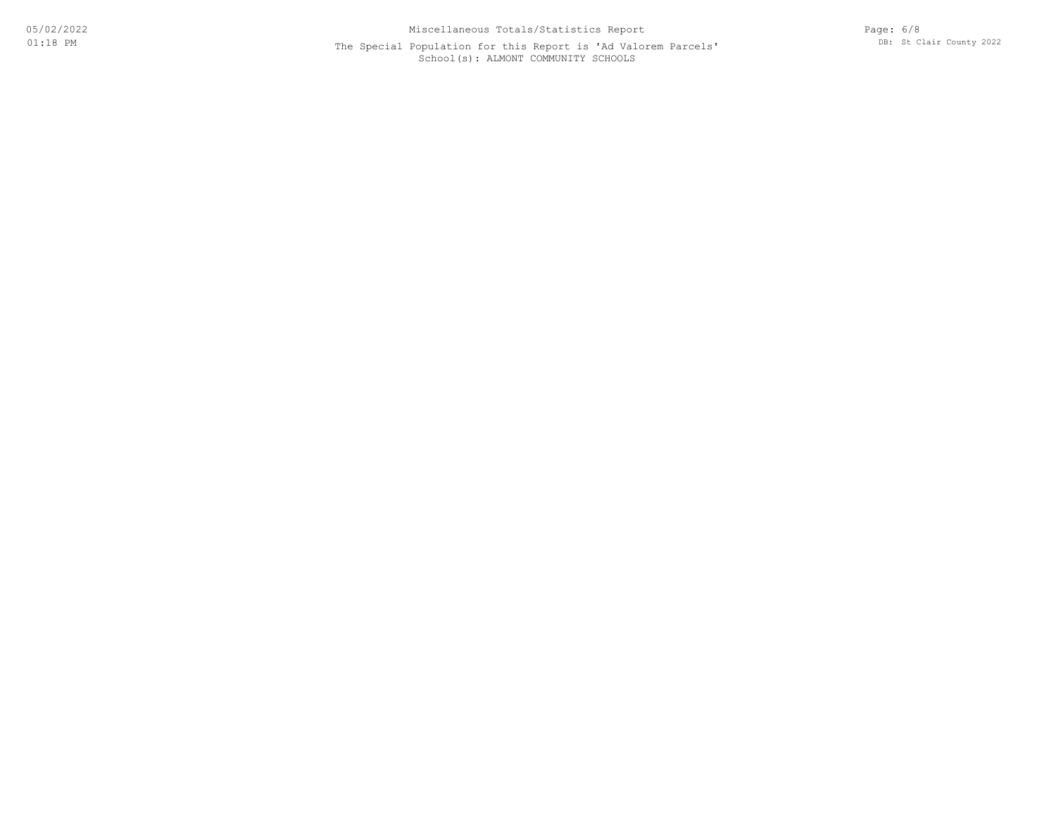#### School(s): ALMONT COMMUNITY SCHOOLS The Special Population for this Report is 'Ad Valorem Parcels'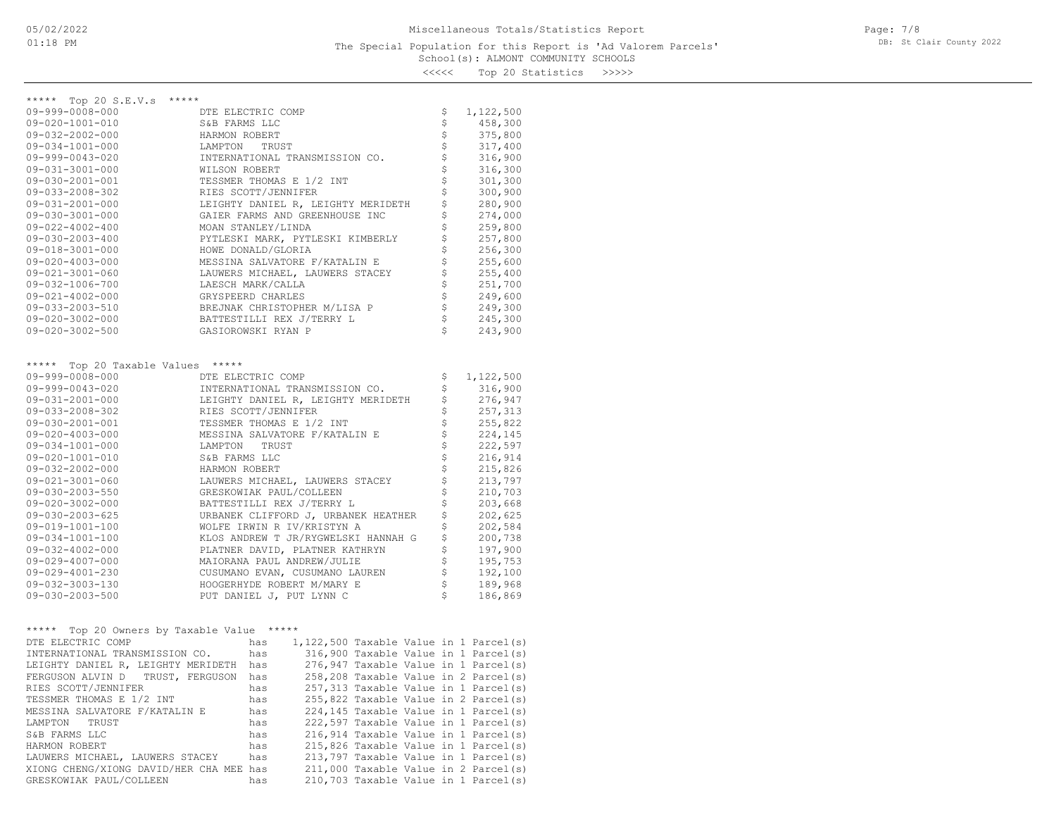## School(s): ALMONT COMMUNITY SCHOOLS The Special Population for this Report is 'Ad Valorem Parcels'

<<<<< Top 20 Statistics >>>>>

| ***** Top 20 S.E.V.s<br>*****        |                               |               |                                     |          |         |    |                                        |
|--------------------------------------|-------------------------------|---------------|-------------------------------------|----------|---------|----|----------------------------------------|
| 09-999-0008-000                      | DTE ELECTRIC COMP             |               |                                     |          |         | \$ | 1,122,500                              |
| $09 - 020 - 1001 - 010$              | S&B FARMS LLC                 |               |                                     |          |         | \$ | 458,300                                |
| 09-032-2002-000                      | HARMON ROBERT                 |               |                                     |          |         | \$ | 375,800                                |
| $09 - 034 - 1001 - 000$              | LAMPTON TRUST                 |               |                                     |          |         | \$ | 317,400                                |
| 09-999-0043-020                      |                               |               | INTERNATIONAL TRANSMISSION CO.      |          |         | \$ | 316,900                                |
| $09 - 031 - 3001 - 000$              | WILSON ROBERT                 |               |                                     |          |         | \$ | 316,300                                |
| 09-030-2001-001                      |                               |               | TESSMER THOMAS E 1/2 INT            |          |         | \$ | 301,300                                |
| 09-033-2008-302                      | RIES SCOTT/JENNIFER           |               |                                     |          |         | \$ | 300,900                                |
| 09-031-2001-000                      |                               |               | LEIGHTY DANIEL R, LEIGHTY MERIDETH  |          |         | \$ | 280,900                                |
| $09 - 030 - 3001 - 000$              |                               |               | GAIER FARMS AND GREENHOUSE INC      |          |         | \$ | 274,000                                |
| $09 - 022 - 4002 - 400$              | MOAN STANLEY/LINDA            |               |                                     |          |         | \$ | 259,800                                |
| $09 - 030 - 2003 - 400$              |                               |               | PYTLESKI MARK, PYTLESKI KIMBERLY    |          |         | \$ | 257,800                                |
| $09 - 018 - 3001 - 000$              | HOWE DONALD/GLORIA            |               |                                     |          |         | \$ | 256,300                                |
| $09 - 020 - 4003 - 000$              |                               |               | MESSINA SALVATORE F/KATALIN E       |          |         | \$ | 255,600                                |
| 09-021-3001-060                      |                               |               | LAUWERS MICHAEL, LAUWERS STACEY     |          |         | \$ | 255,400                                |
| 09-032-1006-700                      | LAESCH MARK/CALLA             |               |                                     |          |         | \$ | 251,700                                |
| $09 - 021 - 4002 - 000$              | GRYSPEERD CHARLES             |               |                                     |          |         | \$ | 249,600                                |
| 09-033-2003-510                      |                               |               | BREJNAK CHRISTOPHER M/LISA P        |          |         | \$ | 249,300                                |
| $09 - 020 - 3002 - 000$              |                               |               | BATTESTILLI REX J/TERRY L           |          |         | \$ | 245,300                                |
| $09 - 020 - 3002 - 500$              | GASIOROWSKI RYAN P            |               |                                     |          |         | Ŝ  | 243,900                                |
|                                      |                               |               |                                     |          |         |    |                                        |
| ***** Top 20 Taxable Values          | *****                         |               |                                     |          |         |    |                                        |
| 09-999-0008-000                      | DTE ELECTRIC COMP             |               |                                     |          |         | Ş  | 1,122,500                              |
| 09-999-0043-020                      |                               |               | INTERNATIONAL TRANSMISSION CO.      |          |         | \$ | 316,900                                |
| 09-031-2001-000                      |                               |               | LEIGHTY DANIEL R, LEIGHTY MERIDETH  |          |         | \$ | 276,947                                |
| 09-033-2008-302                      | RIES SCOTT/JENNIFER           |               |                                     |          |         | \$ | 257,313                                |
| $09 - 030 - 2001 - 001$              |                               |               | TESSMER THOMAS E 1/2 INT            |          |         | \$ | 255,822                                |
| 09-020-4003-000                      | MESSINA SALVATORE F/KATALIN E |               |                                     | \$<br>\$ | 224,145 |    |                                        |
| $09 - 034 - 1001 - 000$              |                               | LAMPTON TRUST |                                     |          |         |    | 222,597                                |
| 09-020-1001-010                      | S&B FARMS LLC                 |               |                                     |          |         | \$ | 216,914                                |
| 09-032-2002-000                      | HARMON ROBERT                 |               |                                     |          |         | \$ | 215,826                                |
| 09-021-3001-060                      |                               |               | LAUWERS MICHAEL, LAUWERS STACEY     |          |         | \$ | 213,797                                |
| 09-030-2003-550                      |                               |               | GRESKOWIAK PAUL/COLLEEN             |          |         | \$ | 210,703                                |
| $09 - 020 - 3002 - 000$              |                               |               | BATTESTILLI REX J/TERRY L           |          |         | \$ | 203,668                                |
| 09-030-2003-625                      |                               |               | URBANEK CLIFFORD J, URBANEK HEATHER |          |         | \$ | 202,625                                |
| 09-019-1001-100                      |                               |               | WOLFE IRWIN R IV/KRISTYN A          |          |         | \$ | 202,584                                |
| $09 - 034 - 1001 - 100$              |                               |               | KLOS ANDREW T JR/RYGWELSKI HANNAH G |          |         | \$ | 200,738                                |
| $09 - 032 - 4002 - 000$              |                               |               | PLATNER DAVID, PLATNER KATHRYN      |          |         | \$ | 197,900                                |
| 09-029-4007-000                      |                               |               | MAIORANA PAUL ANDREW/JULIE          |          |         | \$ | 195,753                                |
| 09-029-4001-230                      |                               |               | CUSUMANO EVAN, CUSUMANO LAUREN      |          |         | \$ | 192,100                                |
| 09-032-3003-130                      |                               |               | HOOGERHYDE ROBERT M/MARY E          |          |         | \$ | 189,968                                |
| $09 - 030 - 2003 - 500$              |                               |               | PUT DANIEL J, PUT LYNN C            |          |         | \$ | 186,869                                |
|                                      |                               |               |                                     |          |         |    |                                        |
| Top 20 Owners by Taxable Value ***** |                               |               |                                     |          |         |    |                                        |
| DTE ELECTRIC COMP                    |                               | has           |                                     |          |         |    | 1,122,500 Taxable Value in 1 Parcel(s) |
| INTERNATIONAL TRANSMISSION CO.       |                               | has           |                                     |          |         |    | 316,900 Taxable Value in 1 Parcel(s)   |
| LEIGHTY DANIEL R, LEIGHTY MERIDETH   |                               | has           |                                     |          |         |    | 276,947 Taxable Value in 1 Parcel(s)   |
| TRUST, FERGUSON<br>FERGUSON ALVIN D  |                               | has           |                                     |          |         |    | 258,208 Taxable Value in 2 Parcel(s)   |
| RIES SCOTT/JENNIFER                  |                               | has           |                                     |          |         |    | 257, 313 Taxable Value in 1 Parcel(s)  |
| TESSMER THOMAS E 1/2 INT             |                               | has           |                                     |          |         |    | 255,822 Taxable Value in 2 Parcel(s)   |
| MESSINA SALVATORE F/KATALIN E        |                               | has           |                                     |          |         |    | 224,145 Taxable Value in 1 Parcel(s)   |
| LAMPTON<br>TRUST                     |                               | has           |                                     |          |         |    | 222,597 Taxable Value in 1 Parcel(s)   |
| S&B FARMS LLC                        |                               | has           |                                     |          |         |    | 216,914 Taxable Value in 1 Parcel(s)   |
| HARMON ROBERT                        |                               | has           |                                     |          |         |    | 215,826 Taxable Value in 1 Parcel(s)   |
| LAUWERS MICHAEL, LAUWERS STACEY      |                               | has           |                                     |          |         |    | 213,797 Taxable Value in 1 Parcel(s)   |

GRESKOWIAK PAUL/COLLEEN has 210,703 Taxable Value in 1 Parcel(s) XIONG CHENG/XIONG DAVID/HER CHA MEE has 211,000 Taxable Value in 2 Parcel(s)